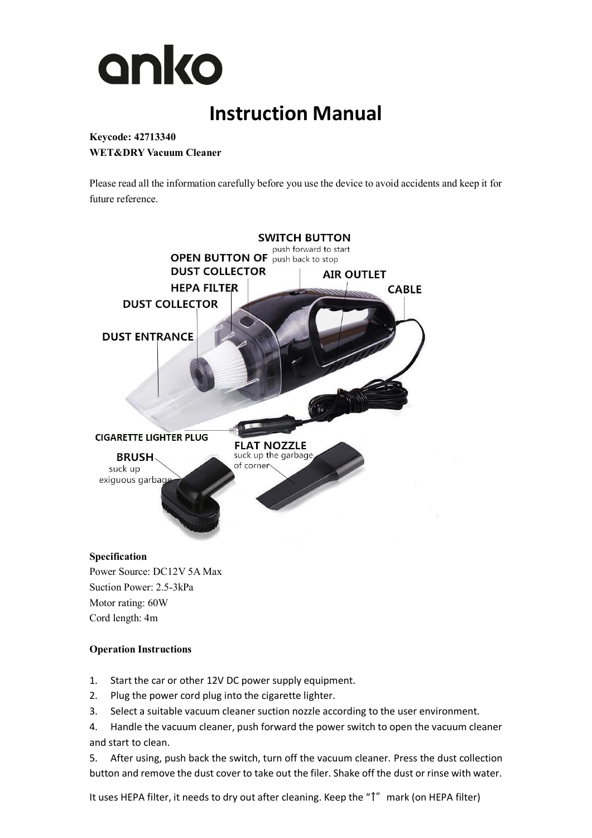

# **Instruction Manual**

# **Keycode: 42713340 WET&DRY Vacuum Cleaner**

Please read all the information carefully before you use the device to avoid accidents and keep it for future reference.



#### **Specification**

Power Source: DC12V 5A Max Suction Power: 2.5-3kPa Motor rating: 60W Cord length: 4m

## **Operation Instructions**

- 1. Start the car or other 12V DC power supply equipment.
- 2. Plug the power cord plug into the cigarette lighter.
- 3. Select a suitable vacuum cleaner suction nozzle according to the user environment.
- 4. Handle the vacuum cleaner, push forward the power switch to open the vacuum cleaner and start to clean.

5. After using, push back the switch, turn off the vacuum cleaner. Press the dust collection button and remove the dust cover to take out the filer. Shake off the dust or rinse with water.

It uses HEPA filter, it needs to dry out after cleaning. Keep the "1" mark (on HEPA filter)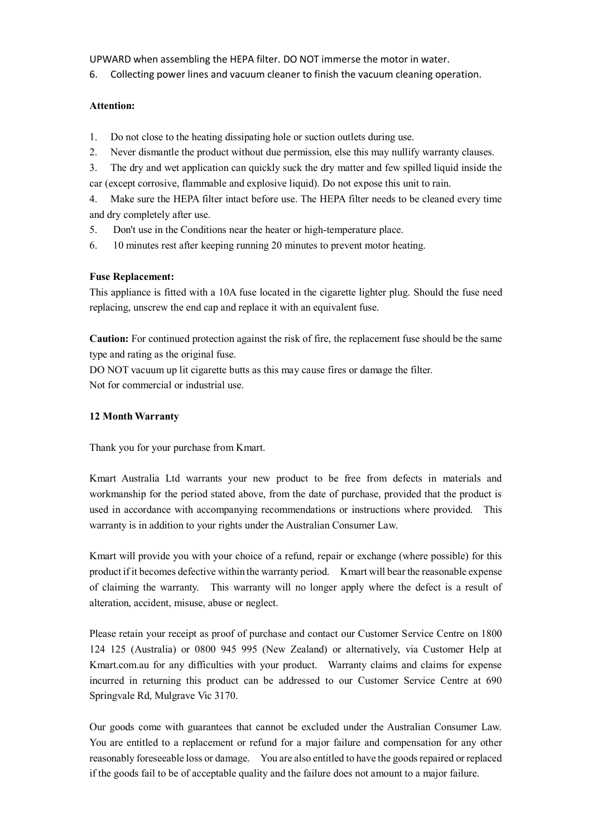UPWARD when assembling the HEPA filter. DO NOT immerse the motor in water.

6. Collecting power lines and vacuum cleaner to finish the vacuum cleaning operation.

#### **Attention:**

- 1. Do not close to the heating dissipating hole or suction outlets during use.
- 2. Never dismantle the product without due permission, else this may nullify warranty clauses.
- 3. The dry and wet application can quickly suck the dry matter and few spilled liquid inside the
- car (except corrosive, flammable and explosive liquid). Do not expose this unit to rain.

4. Make sure the HEPA filter intact before use. The HEPA filter needs to be cleaned every time and dry completely after use.

- 5. Don't use in the Conditions near the heater or high-temperature place.
- 6. 10 minutes rest after keeping running 20 minutes to prevent motor heating.

## **Fuse Replacement:**

This appliance is fitted with a 10A fuse located in the cigarette lighter plug. Should the fuse need replacing, unscrew the end cap and replace it with an equivalent fuse.

**Caution:** For continued protection against the risk of fire, the replacement fuse should be the same type and rating as the original fuse.

DO NOT vacuum up lit cigarette butts as this may cause fires or damage the filter. Not for commercial or industrial use.

#### **12 Month Warranty**

Thank you for your purchase from Kmart.

Kmart Australia Ltd warrants your new product to be free from defects in materials and workmanship for the period stated above, from the date of purchase, provided that the product is used in accordance with accompanying recommendations or instructions where provided. This warranty is in addition to your rights under the Australian Consumer Law.

Kmart will provide you with your choice of a refund, repair or exchange (where possible) for this product if it becomes defective within the warranty period. Kmart will bear the reasonable expense of claiming the warranty. This warranty will no longer apply where the defect is a result of alteration, accident, misuse, abuse or neglect.

Please retain your receipt as proof of purchase and contact our Customer Service Centre on 1800 124 125 (Australia) or 0800 945 995 (New Zealand) or alternatively, via Customer Help at Kmart.com.au for any difficulties with your product. Warranty claims and claims for expense incurred in returning this product can be addressed to our Customer Service Centre at 690 Springvale Rd, Mulgrave Vic 3170.

Our goods come with guarantees that cannot be excluded under the Australian Consumer Law. You are entitled to a replacement or refund for a major failure and compensation for any other reasonably foreseeable loss or damage. You are also entitled to have the goods repaired or replaced if the goods fail to be of acceptable quality and the failure does not amount to a major failure.